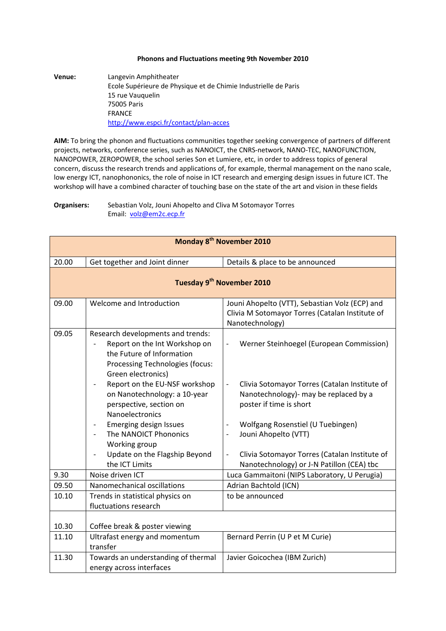## **Phonons and Fluctuations meeting 9th November 2010**

**Venue:** Langevin Amphitheater Ecole Supérieure de Physique et de Chimie Industrielle de Paris 15 rue Vauquelin 75005 Paris FRANCE http://www.espci.fr/contact/plan‐acces

**AIM:** To bring the phonon and fluctuations communities together seeking convergence of partners of different projects, networks, conference series, such as NANOICT, the CNRS‐network, NANO‐TEC, NANOFUNCTION, NANOPOWER, ZEROPOWER, the school series Son et Lumiere, etc, in order to address topics of general concern, discuss the research trends and applications of, for example, thermal management on the nano scale, low energy ICT, nanophononics, the role of noise in ICT research and emerging design issues in future ICT. The workshop will have a combined character of touching base on the state of the art and vision in these fields

**Organisers:** Sebastian Volz, Jouni Ahopelto and Cliva M Sotomayor Torres Email: volz@em2c.ecp.fr

| Monday 8 <sup>th</sup> November 2010  |                                                                                                                                                                                                                                                                                                                                                                                                                                   |                                                                                                                                                                                                                                                                                                                                                                                                                      |
|---------------------------------------|-----------------------------------------------------------------------------------------------------------------------------------------------------------------------------------------------------------------------------------------------------------------------------------------------------------------------------------------------------------------------------------------------------------------------------------|----------------------------------------------------------------------------------------------------------------------------------------------------------------------------------------------------------------------------------------------------------------------------------------------------------------------------------------------------------------------------------------------------------------------|
| 20.00                                 | Get together and Joint dinner                                                                                                                                                                                                                                                                                                                                                                                                     | Details & place to be announced                                                                                                                                                                                                                                                                                                                                                                                      |
| Tuesday 9 <sup>th</sup> November 2010 |                                                                                                                                                                                                                                                                                                                                                                                                                                   |                                                                                                                                                                                                                                                                                                                                                                                                                      |
| 09.00                                 | Welcome and Introduction                                                                                                                                                                                                                                                                                                                                                                                                          | Jouni Ahopelto (VTT), Sebastian Volz (ECP) and<br>Clivia M Sotomayor Torres (Catalan Institute of<br>Nanotechnology)                                                                                                                                                                                                                                                                                                 |
| 09.05                                 | Research developments and trends:<br>Report on the Int Workshop on<br>the Future of Information<br>Processing Technologies (focus:<br>Green electronics)<br>Report on the EU-NSF workshop<br>$\overline{\phantom{a}}$<br>on Nanotechnology: a 10-year<br>perspective, section on<br>Nanoelectronics<br><b>Emerging design Issues</b><br>The NANOICT Phononics<br>Working group<br>Update on the Flagship Beyond<br>the ICT Limits | Werner Steinhoegel (European Commission)<br>$\overline{\phantom{a}}$<br>Clivia Sotomayor Torres (Catalan Institute of<br>$\overline{\phantom{a}}$<br>Nanotechnology)- may be replaced by a<br>poster if time is short<br>Wolfgang Rosenstiel (U Tuebingen)<br>Jouni Ahopelto (VTT)<br>$\blacksquare$<br>Clivia Sotomayor Torres (Catalan Institute of<br>$\blacksquare$<br>Nanotechnology) or J-N Patillon (CEA) tbc |
| 9.30                                  | Noise driven ICT                                                                                                                                                                                                                                                                                                                                                                                                                  | Luca Gammaitoni (NIPS Laboratory, U Perugia)                                                                                                                                                                                                                                                                                                                                                                         |
| 09.50                                 | Nanomechanical oscillations                                                                                                                                                                                                                                                                                                                                                                                                       | Adrian Bachtold (ICN)                                                                                                                                                                                                                                                                                                                                                                                                |
| 10.10                                 | Trends in statistical physics on<br>fluctuations research                                                                                                                                                                                                                                                                                                                                                                         | to be announced                                                                                                                                                                                                                                                                                                                                                                                                      |
| 10.30                                 | Coffee break & poster viewing                                                                                                                                                                                                                                                                                                                                                                                                     |                                                                                                                                                                                                                                                                                                                                                                                                                      |
| 11.10                                 | Ultrafast energy and momentum<br>transfer                                                                                                                                                                                                                                                                                                                                                                                         | Bernard Perrin (U P et M Curie)                                                                                                                                                                                                                                                                                                                                                                                      |
| 11.30                                 | Towards an understanding of thermal<br>energy across interfaces                                                                                                                                                                                                                                                                                                                                                                   | Javier Goicochea (IBM Zurich)                                                                                                                                                                                                                                                                                                                                                                                        |